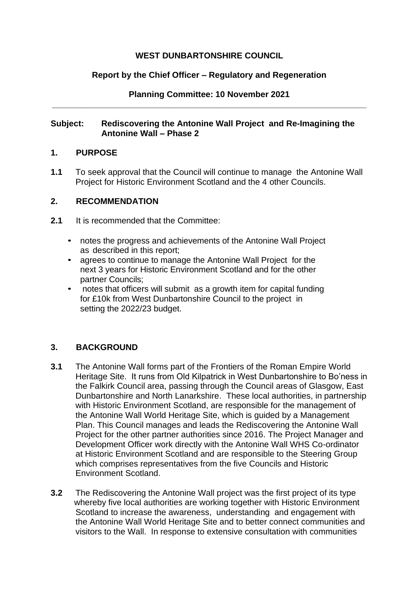## **WEST DUNBARTONSHIRE COUNCIL**

### **Report by the Chief Officer – Regulatory and Regeneration**

### **Planning Committee: 10 November 2021 \_\_\_\_\_\_\_\_\_\_\_\_\_\_\_\_\_\_\_\_\_\_\_\_\_\_\_\_\_\_\_\_\_\_\_\_\_\_\_\_\_\_\_\_\_\_\_\_\_\_\_\_\_\_\_\_\_\_\_\_\_\_\_\_\_\_\_**

### **Subject: Rediscovering the Antonine Wall Project and Re-Imagining the Antonine Wall – Phase 2**

### **1. PURPOSE**

**1.1** To seek approval that the Council will continue to manage the Antonine Wall Project for Historic Environment Scotland and the 4 other Councils.

## **2. RECOMMENDATION**

- **2.1** It is recommended that the Committee:
	- notes the progress and achievements of the Antonine Wall Project as described in this report;
	- agrees to continue to manage the Antonine Wall Project for the next 3 years for Historic Environment Scotland and for the other partner Councils;
	- notes that officers will submit as a growth item for capital funding for £10k from West Dunbartonshire Council to the project in setting the 2022/23 budget.

# **3. BACKGROUND**

- **3.1** The Antonine Wall forms part of the Frontiers of the Roman Empire World Heritage Site. It runs from Old Kilpatrick in West Dunbartonshire to Bo'ness in the Falkirk Council area, passing through the Council areas of Glasgow, East Dunbartonshire and North Lanarkshire. These local authorities, in partnership with Historic Environment Scotland, are responsible for the management of the Antonine Wall World Heritage Site, which is guided by a Management Plan. This Council manages and leads the Rediscovering the Antonine Wall Project for the other partner authorities since 2016. The Project Manager and Development Officer work directly with the Antonine Wall WHS Co-ordinator at Historic Environment Scotland and are responsible to the Steering Group which comprises representatives from the five Councils and Historic Environment Scotland.
- **3.2** The Rediscovering the Antonine Wall project was the first project of its type whereby five local authorities are working together with Historic Environment Scotland to increase the awareness, understanding and engagement with the Antonine Wall World Heritage Site and to better connect communities and visitors to the Wall. In response to extensive consultation with communities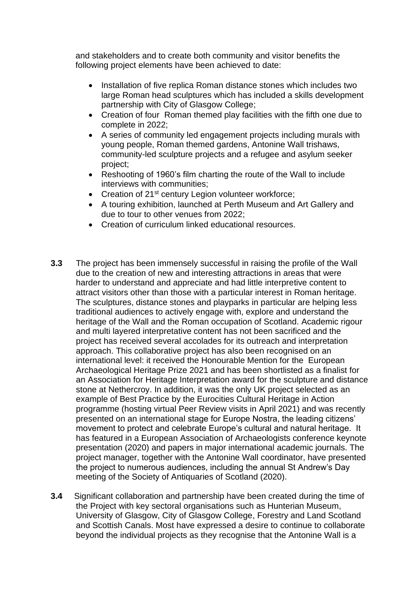and stakeholders and to create both community and visitor benefits the following project elements have been achieved to date:

- Installation of five replica Roman distance stones which includes two large Roman head sculptures which has included a skills development partnership with City of Glasgow College;
- Creation of four Roman themed play facilities with the fifth one due to complete in 2022;
- A series of community led engagement projects including murals with young people, Roman themed gardens, Antonine Wall trishaws, community-led sculpture projects and a refugee and asylum seeker project;
- Reshooting of 1960's film charting the route of the Wall to include interviews with communities;
- Creation of 21<sup>st</sup> century Legion volunteer workforce;
- A touring exhibition, launched at Perth Museum and Art Gallery and due to tour to other venues from 2022;
- Creation of curriculum linked educational resources.
- **3.3** The project has been immensely successful in raising the profile of the Wall due to the creation of new and interesting attractions in areas that were harder to understand and appreciate and had little interpretive content to attract visitors other than those with a particular interest in Roman heritage. The sculptures, distance stones and playparks in particular are helping less traditional audiences to actively engage with, explore and understand the heritage of the Wall and the Roman occupation of Scotland. Academic rigour and multi layered interpretative content has not been sacrificed and the project has received several accolades for its outreach and interpretation approach. This collaborative project has also been recognised on an international level: it received the Honourable Mention for the European Archaeological Heritage Prize 2021 and has been shortlisted as a finalist for an Association for Heritage Interpretation award for the sculpture and distance stone at Nethercroy. In addition, it was the only UK project selected as an example of Best Practice by the Eurocities Cultural Heritage in Action programme (hosting virtual Peer Review visits in April 2021) and was recently presented on an international stage for Europe Nostra, the leading citizens' movement to protect and celebrate Europe's cultural and natural heritage. It has featured in a European Association of Archaeologists conference keynote presentation (2020) and papers in major international academic journals. The project manager, together with the Antonine Wall coordinator, have presented the project to numerous audiences, including the annual St Andrew's Day meeting of the Society of Antiquaries of Scotland (2020).
- **3.4** Significant collaboration and partnership have been created during the time of the Project with key sectoral organisations such as Hunterian Museum, University of Glasgow, City of Glasgow College, Forestry and Land Scotland and Scottish Canals. Most have expressed a desire to continue to collaborate beyond the individual projects as they recognise that the Antonine Wall is a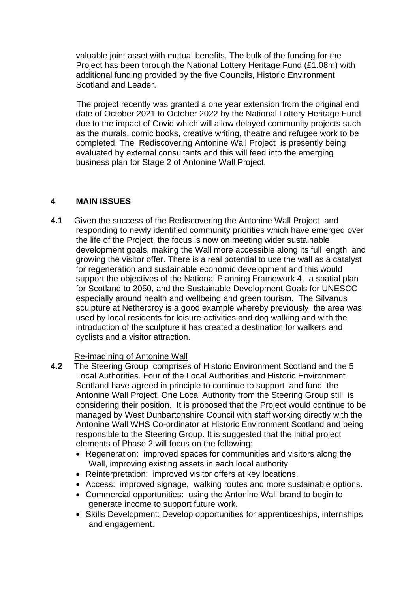valuable joint asset with mutual benefits. The bulk of the funding for the Project has been through the National Lottery Heritage Fund (£1.08m) with additional funding provided by the five Councils, Historic Environment Scotland and Leader.

The project recently was granted a one year extension from the original end date of October 2021 to October 2022 by the National Lottery Heritage Fund due to the impact of Covid which will allow delayed community projects such as the murals, comic books, creative writing, theatre and refugee work to be completed. The Rediscovering Antonine Wall Project is presently being evaluated by external consultants and this will feed into the emerging business plan for Stage 2 of Antonine Wall Project.

### **4 MAIN ISSUES**

**4.1** Given the success of the Rediscovering the Antonine Wall Project and responding to newly identified community priorities which have emerged over the life of the Project, the focus is now on meeting wider sustainable development goals, making the Wall more accessible along its full length and growing the visitor offer. There is a real potential to use the wall as a catalyst for regeneration and sustainable economic development and this would support the objectives of the National Planning Framework 4, a spatial plan for Scotland to 2050, and the Sustainable Development Goals for UNESCO especially around health and wellbeing and green tourism. The Silvanus sculpture at Nethercroy is a good example whereby previously the area was used by local residents for leisure activities and dog walking and with the introduction of the sculpture it has created a destination for walkers and cyclists and a visitor attraction.

### Re-imagining of Antonine Wall

- **4.2** The Steering Group comprises of Historic Environment Scotland and the 5 Local Authorities. Four of the Local Authorities and Historic Environment Scotland have agreed in principle to continue to support and fund the Antonine Wall Project. One Local Authority from the Steering Group still is considering their position. It is proposed that the Project would continue to be managed by West Dunbartonshire Council with staff working directly with the Antonine Wall WHS Co-ordinator at Historic Environment Scotland and being responsible to the Steering Group. It is suggested that the initial project elements of Phase 2 will focus on the following:
	- Regeneration: improved spaces for communities and visitors along the Wall, improving existing assets in each local authority.
	- Reinterpretation: improved visitor offers at key locations.
	- Access: improved signage, walking routes and more sustainable options.
	- Commercial opportunities: using the Antonine Wall brand to begin to generate income to support future work.
	- Skills Development: Develop opportunities for apprenticeships, internships and engagement.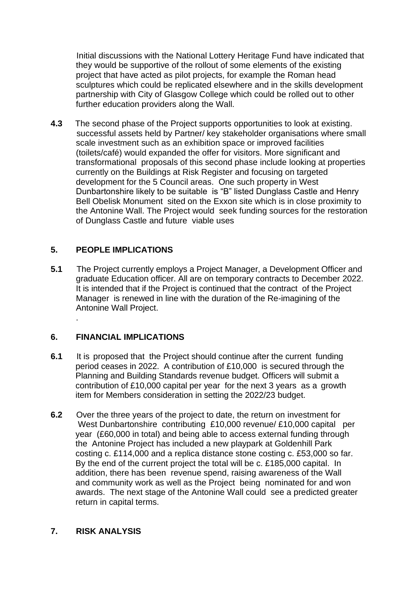Initial discussions with the National Lottery Heritage Fund have indicated that they would be supportive of the rollout of some elements of the existing project that have acted as pilot projects, for example the Roman head sculptures which could be replicated elsewhere and in the skills development partnership with City of Glasgow College which could be rolled out to other further education providers along the Wall.

**4.3** The second phase of the Project supports opportunities to look at existing. successful assets held by Partner/ key stakeholder organisations where small scale investment such as an exhibition space or improved facilities (toilets/café) would expanded the offer for visitors. More significant and transformational proposals of this second phase include looking at properties currently on the Buildings at Risk Register and focusing on targeted development for the 5 Council areas. One such property in West Dunbartonshire likely to be suitable is "B" listed Dunglass Castle and Henry Bell Obelisk Monument sited on the Exxon site which is in close proximity to the Antonine Wall. The Project would seek funding sources for the restoration of Dunglass Castle and future viable uses

# **5. PEOPLE IMPLICATIONS**

**5.1** The Project currently employs a Project Manager, a Development Officer and graduate Education officer. All are on temporary contracts to December 2022. It is intended that if the Project is continued that the contract of the Project Manager is renewed in line with the duration of the Re-imagining of the Antonine Wall Project.

# **6. FINANCIAL IMPLICATIONS**

.

- **6.1** It is proposed that the Project should continue after the current funding period ceases in 2022. A contribution of £10,000 is secured through the Planning and Building Standards revenue budget. Officers will submit a contribution of £10,000 capital per year for the next 3 years as a growth item for Members consideration in setting the 2022/23 budget.
- **6.2** Over the three years of the project to date, the return on investment for West Dunbartonshire contributing £10,000 revenue/ £10,000 capital per year (£60,000 in total) and being able to access external funding through the Antonine Project has included a new playpark at Goldenhill Park costing c. £114,000 and a replica distance stone costing c. £53,000 so far. By the end of the current project the total will be c. £185,000 capital. In addition, there has been revenue spend, raising awareness of the Wall and community work as well as the Project being nominated for and won awards. The next stage of the Antonine Wall could see a predicted greater return in capital terms.

### **7. RISK ANALYSIS**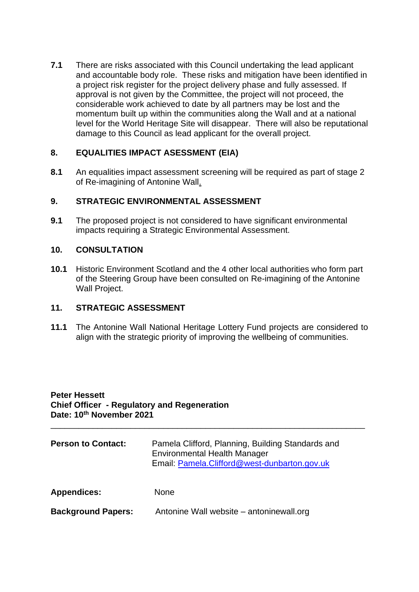**7.1** There are risks associated with this Council undertaking the lead applicant and accountable body role. These risks and mitigation have been identified in a project risk register for the project delivery phase and fully assessed. If approval is not given by the Committee, the project will not proceed, the considerable work achieved to date by all partners may be lost and the momentum built up within the communities along the Wall and at a national level for the World Heritage Site will disappear. There will also be reputational damage to this Council as lead applicant for the overall project.

# **8. EQUALITIES IMPACT ASESSMENT (EIA)**

**8.1** An equalities impact assessment screening will be required as part of stage 2 of Re-imagining of Antonine Wall.

### **9. STRATEGIC ENVIRONMENTAL ASSESSMENT**

**9.1** The proposed project is not considered to have significant environmental impacts requiring a Strategic Environmental Assessment.

#### **10. CONSULTATION**

**10.1** Historic Environment Scotland and the 4 other local authorities who form part of the Steering Group have been consulted on Re-imagining of the Antonine Wall Project.

### **11. STRATEGIC ASSESSMENT**

**11.1** The Antonine Wall National Heritage Lottery Fund projects are considered to align with the strategic priority of improving the wellbeing of communities.

#### **Peter Hessett Chief Officer - Regulatory and Regeneration Date: 10th November 2021**

| <b>Person to Contact:</b> | Pamela Clifford, Planning, Building Standards and<br>Environmental Health Manager<br>Email: Pamela.Clifford@west-dunbarton.gov.uk |
|---------------------------|-----------------------------------------------------------------------------------------------------------------------------------|
| <b>Appendices:</b>        | <b>None</b>                                                                                                                       |
| <b>Background Papers:</b> | Antonine Wall website – antoninewall.org                                                                                          |

\_\_\_\_\_\_\_\_\_\_\_\_\_\_\_\_\_\_\_\_\_\_\_\_\_\_\_\_\_\_\_\_\_\_\_\_\_\_\_\_\_\_\_\_\_\_\_\_\_\_\_\_\_\_\_\_\_\_\_\_\_\_\_\_\_\_\_